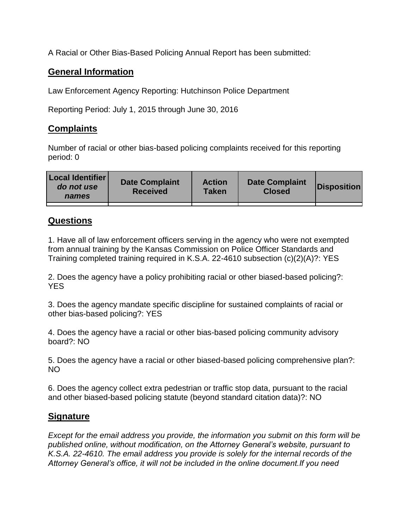A Racial or Other Bias-Based Policing Annual Report has been submitted:

## **General Information**

Law Enforcement Agency Reporting: Hutchinson Police Department

Reporting Period: July 1, 2015 through June 30, 2016

## **Complaints**

Number of racial or other bias-based policing complaints received for this reporting period: 0

| <b>Local Identifier</b><br>do not use<br>names | <b>Date Complaint</b><br><b>Received</b> | <b>Action</b><br><b>Taken</b> | <b>Date Complaint</b><br><b>Closed</b> | Disposition |
|------------------------------------------------|------------------------------------------|-------------------------------|----------------------------------------|-------------|
|                                                |                                          |                               |                                        |             |

## **Questions**

1. Have all of law enforcement officers serving in the agency who were not exempted from annual training by the Kansas Commission on Police Officer Standards and Training completed training required in K.S.A. 22-4610 subsection (c)(2)(A)?: YES

2. Does the agency have a policy prohibiting racial or other biased-based policing?: YES

3. Does the agency mandate specific discipline for sustained complaints of racial or other bias-based policing?: YES

4. Does the agency have a racial or other bias-based policing community advisory board?: NO

5. Does the agency have a racial or other biased-based policing comprehensive plan?: NO

6. Does the agency collect extra pedestrian or traffic stop data, pursuant to the racial and other biased-based policing statute (beyond standard citation data)?: NO

## **Signature**

*Except for the email address you provide, the information you submit on this form will be published online, without modification, on the Attorney General's website, pursuant to K.S.A. 22-4610. The email address you provide is solely for the internal records of the Attorney General's office, it will not be included in the online document.If you need*